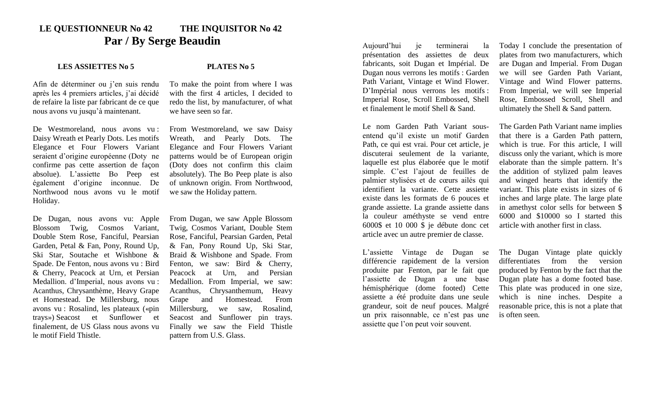## **LE QUESTIONNEUR No 42 THE INQUISITOR No 42 Par / By Serge Beaudin**

## **LES ASSIETTES No 5 PLATES No 5**

Afin de déterminer ou j'en suis rendu après les 4 premiers articles, j'ai décidé de refaire la liste par fabricant de ce que nous avons vu jusqu'à maintenant.

De Westmoreland, nous avons vu : Daisy Wreath et Pearly Dots. Les motifs Elegance et Four Flowers Variant seraient d'origine européenne (Doty ne confirme pas cette assertion de façon absolue). L'assiette Bo Peep est également d'origine inconnue. De Northwood nous avons vu le motif Holiday.

De Dugan, nous avons vu: Apple Blossom Twig, Cosmos Variant, Double Stem Rose, Fanciful, Pearsian Garden, Petal & Fan, Pony, Round Up, Ski Star, Soutache et Wishbone & Spade. De Fenton, nous avons vu : Bird & Cherry, Peacock at Urn, et Persian Medallion. d'Imperial, nous avons vu : Acanthus, Chrysanthème, Heavy Grape et Homestead. De Millersburg, nous avons vu : Rosalind, les plateaux («pin trays») Seacost et Sunflower et finalement, de US Glass nous avons vu le motif Field Thistle.

To make the point from where I was with the first 4 articles, I decided to redo the list, by manufacturer, of what we have seen so far.

From Westmoreland, we saw Daisy Wreath, and Pearly Dots. The Elegance and Four Flowers Variant patterns would be of European origin (Doty does not confirm this claim absolutely). The Bo Peep plate is also of unknown origin. From Northwood, we saw the Holiday pattern.

From Dugan, we saw Apple Blossom Twig, Cosmos Variant, Double Stem Rose, Fanciful, Pearsian Garden, Petal & Fan, Pony Round Up, Ski Star, Braid & Wishbone and Spade. From Fenton, we saw: Bird & Cherry, Peacock at Urn, and Persian Medallion. From Imperial, we saw: Acanthus, Chrysanthemum, Heavy Grape and Homestead. From Millersburg, we saw, Rosalind, Seacost and Sunflower pin trays. Finally we saw the Field Thistle pattern from U.S. Glass.

Aujourd'hui je terminerai la présentation des assiettes de deux fabricants, soit Dugan et Impérial. De Dugan nous verrons les motifs : Garden Path Variant, Vintage et Wind Flower. D'Impérial nous verrons les motifs : Imperial Rose, Scroll Embossed, Shell et finalement le motif Shell & Sand.

Le nom Garden Path Variant sousentend qu'il existe un motif Garden Path, ce qui est vrai. Pour cet article, je discuterai seulement de la variante, laquelle est plus élaborée que le motif simple. C'est l'ajout de feuilles de palmier stylisées et de cœurs ailés qui identifient la variante. Cette assiette existe dans les formats de 6 pouces et grande assiette. La grande assiette dans la couleur améthyste se vend entre 6000\$ et 10 000 \$ je débute donc cet article avec un autre premier de classe.

L'assiette Vintage de Dugan se différencie rapidement de la version produite par Fenton, par le fait que l'assiette de Dugan a une base hémisphérique (dome footed) Cette assiette a été produite dans une seule grandeur, soit de neuf pouces. Malgré un prix raisonnable, ce n'est pas une assiette que l'on peut voir souvent.

Today I conclude the presentation of plates from two manufacturers, which are Dugan and Imperial. From Dugan we will see Garden Path Variant, Vintage and Wind Flower patterns. From Imperial, we will see Imperial Rose, Embossed Scroll, Shell and ultimately the Shell & Sand pattern.

The Garden Path Variant name implies that there is a Garden Path pattern, which is true. For this article, I will discuss only the variant, which is more elaborate than the simple pattern. It's the addition of stylized palm leaves and winged hearts that identify the variant. This plate exists in sizes of 6 inches and large plate. The large plate in amethyst color sells for between \$ 6000 and \$10000 so I started this article with another first in class.

The Dugan Vintage plate quickly differentiates from the version produced by Fenton by the fact that the Dugan plate has a dome footed base. This plate was produced in one size, which is nine inches. Despite a reasonable price, this is not a plate that is often seen.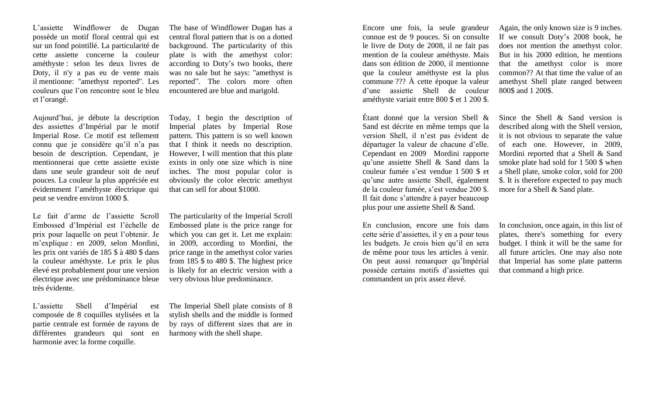L'assiette Windflower de Dugan possède un motif floral central qui est sur un fond pointillé. La particularité de cette assiette concerne la couleur améthyste : selon les deux livres de Doty, il n'y a pas eu de vente mais il mentionne: ''amethyst reported''. Les couleurs que l'on rencontre sont le bleu et l'orangé.

Aujourd'hui, je débute la description des assiettes d'Impérial par le motif Imperial Rose. Ce motif est tellement connu que je considère qu'il n'a pas besoin de description. Cependant, je mentionnerai que cette assiette existe dans une seule grandeur soit de neuf pouces. La couleur la plus appréciée est évidemment l'améthyste électrique qui peut se vendre environ 1000 \$.

Le fait d'arme de l'assiette Scroll Embossed d'Impérial est l'échelle de prix pour laquelle on peut l'obtenir. Je m'explique : en 2009, selon Mordini, les prix ont variés de 185 \$ à 480 \$ dans la couleur améthyste. Le prix le plus élevé est probablement pour une version électrique avec une prédominance bleue très évidente.

L'assiette Shell d'Impérial est composée de 8 coquilles stylisées et la partie centrale est formée de rayons de différentes grandeurs qui sont en harmonie avec la forme coquille.

The base of Windflower Dugan has a central floral pattern that is on a dotted background. The particularity of this plate is with the amethyst color: according to Doty's two books, there was no sale but he says: ''amethyst is reported". The colors more often encountered are blue and marigold.

Today, I begin the description of Imperial plates by Imperial Rose pattern. This pattern is so well known that I think it needs no description. However, I will mention that this plate exists in only one size which is nine inches. The most popular color is obviously the color electric amethyst that can sell for about \$1000.

The particularity of the Imperial Scroll Embossed plate is the price range for which you can get it. Let me explain: in 2009, according to Mordini, the price range in the amethyst color varies from 185 \$ to 480 \$. The highest price is likely for an electric version with a very obvious blue predominance.

The Imperial Shell plate consists of 8 stylish shells and the middle is formed by rays of different sizes that are in harmony with the shell shape.

Encore une fois, la seule grandeur connue est de 9 pouces. Si on consulte le livre de Doty de 2008, il ne fait pas mention de la couleur améthyste. Mais dans son édition de 2000, il mentionne que la couleur améthyste est la plus commune ??? À cette époque la valeur d'une assiette Shell de couleur améthyste variait entre 800 \$ et 1 200 \$.

Étant donné que la version Shell & Sand est décrite en même temps que la version Shell, il n'est pas évident de départager la valeur de chacune d'elle. Cependant en 2009 Mordini rapporte qu'une assiette Shell & Sand dans la couleur fumée s'est vendue 1 500 \$ et qu'une autre assiette Shell, également de la couleur fumée, s'est vendue 200 \$. Il fait donc s'attendre à payer beaucoup plus pour une assiette Shell & Sand.

En conclusion, encore une fois dans cette série d'assiettes, il y en a pour tous les budgets. Je crois bien qu'il en sera de même pour tous les articles à venir. On peut aussi remarquer qu'Impérial possède certains motifs d'assiettes qui commandent un prix assez élevé.

Again, the only known size is 9 inches. If we consult Doty's 2008 book, he does not mention the amethyst color. But in his 2000 edition, he mentions that the amethyst color is more common?? At that time the value of an amethyst Shell plate ranged between 800\$ and 1 200\$.

Since the Shell & Sand version is described along with the Shell version, it is not obvious to separate the value of each one. However, in 2009, Mordini reported that a Shell & Sand smoke plate had sold for 1 500 \$ when a Shell plate, smoke color, sold for 200 \$. It is therefore expected to pay much more for a Shell & Sand plate.

In conclusion, once again, in this list of plates, there's something for every budget. I think it will be the same for all future articles. One may also note that Imperial has some plate patterns that command a high price.